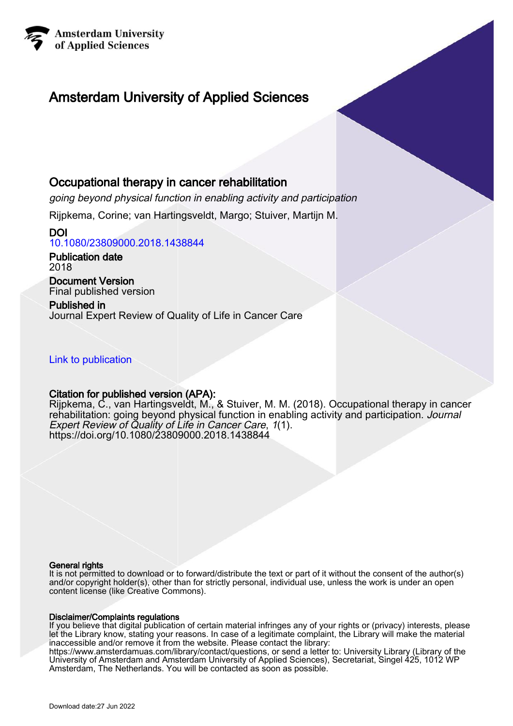

## Amsterdam University of Applied Sciences

## Occupational therapy in cancer rehabilitation

going beyond physical function in enabling activity and participation

Rijpkema, Corine; van Hartingsveldt, Margo; Stuiver, Martijn M.

DOI [10.1080/23809000.2018.1438844](https://doi.org/10.1080/23809000.2018.1438844)

Publication date 2018

Document Version Final published version

Published in Journal Expert Review of Quality of Life in Cancer Care

## [Link to publication](https://research.hva.nl/en/publications/cc574f8e-87a4-480a-8b67-66007c20ba20)

### Citation for published version (APA):

Rijpkema, C., van Hartingsveldt, M., & Stuiver, M. M. (2018). Occupational therapy in cancer rehabilitation: going beyond physical function in enabling activity and participation. Journal Expert Review of Quality of Life in Cancer Care, 1(1). <https://doi.org/10.1080/23809000.2018.1438844>

#### General rights

It is not permitted to download or to forward/distribute the text or part of it without the consent of the author(s) and/or copyright holder(s), other than for strictly personal, individual use, unless the work is under an open content license (like Creative Commons).

#### Disclaimer/Complaints regulations

If you believe that digital publication of certain material infringes any of your rights or (privacy) interests, please let the Library know, stating your reasons. In case of a legitimate complaint, the Library will make the material inaccessible and/or remove it from the website. Please contact the library:

https://www.amsterdamuas.com/library/contact/questions, or send a letter to: University Library (Library of the University of Amsterdam and Amsterdam University of Applied Sciences), Secretariat, Singel 425, 1012 WP Amsterdam, The Netherlands. You will be contacted as soon as possible.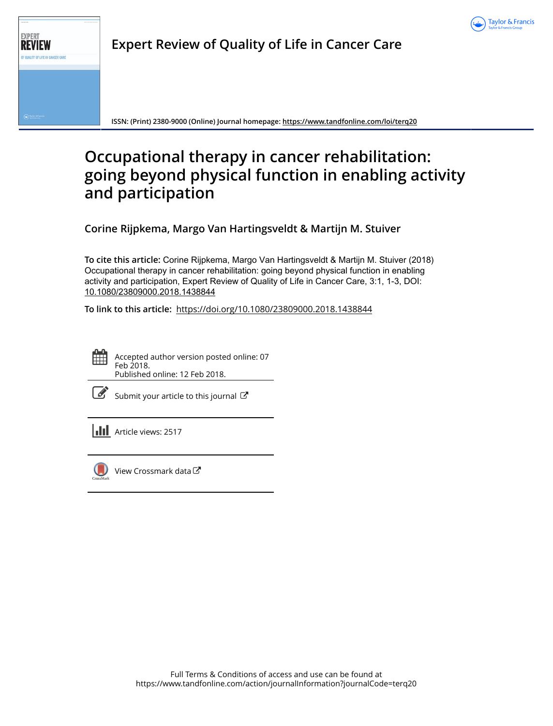

**REVIEW** 

**Expert Review of Quality of Life in Cancer Care**

**ISSN: (Print) 2380-9000 (Online) Journal homepage:<https://www.tandfonline.com/loi/terq20>**

# **Occupational therapy in cancer rehabilitation: going beyond physical function in enabling activity and participation**

**Corine Rijpkema, Margo Van Hartingsveldt & Martijn M. Stuiver**

**To cite this article:** Corine Rijpkema, Margo Van Hartingsveldt & Martijn M. Stuiver (2018) Occupational therapy in cancer rehabilitation: going beyond physical function in enabling activity and participation, Expert Review of Quality of Life in Cancer Care, 3:1, 1-3, DOI: [10.1080/23809000.2018.1438844](https://www.tandfonline.com/action/showCitFormats?doi=10.1080/23809000.2018.1438844)

**To link to this article:** <https://doi.org/10.1080/23809000.2018.1438844>



Accepted author version posted online: 07 Feb 2018. Published online: 12 Feb 2018.

[Submit your article to this journal](https://www.tandfonline.com/action/authorSubmission?journalCode=terq20&show=instructions)  $\mathbb{Z}$ 

**Article views: 2517** 



[View Crossmark data](http://crossmark.crossref.org/dialog/?doi=10.1080/23809000.2018.1438844&domain=pdf&date_stamp=2018-02-07)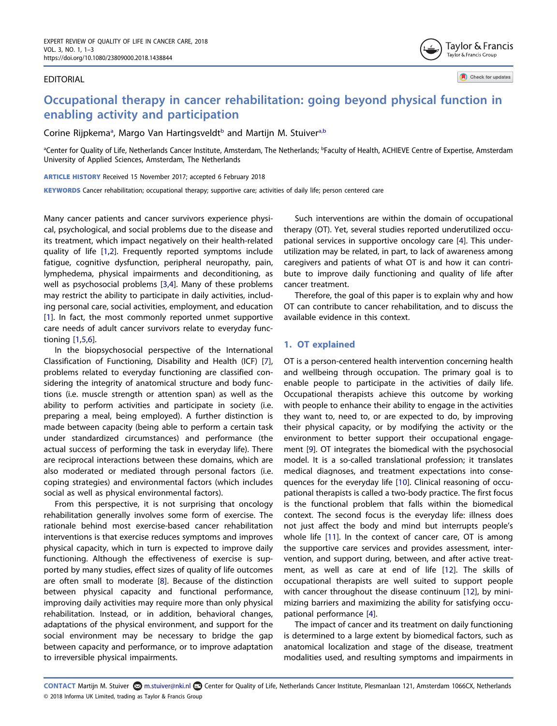#### EDITORIAL

Taylor & Francis Taylor & Francis Group

## Occupational therapy in cancer rehabilitation: going beyond physical function in enabling activity and participation

Corine Rijpkem[a](#page-2-0)<sup>a</sup>, Margo Van Hartingsveldt<sup>b</sup> and Martijn M. Stuiver<sup>a,b</sup>

<span id="page-2-0"></span><sup>a</sup>Center for Quality of Life, Netherlands Cancer Institute, Amsterdam, The Netherlands; <sup>b</sup>Faculty of Health, ACHIEVE Centre of Expertise, Amsterdam University of Applied Sciences, Amsterdam, The Netherlands

ARTICLE HISTORY Received 15 November 2017; accepted 6 February 2018

KEYWORDS Cancer rehabilitation; occupational therapy; supportive care; activities of daily life; person centered care

<span id="page-2-3"></span><span id="page-2-2"></span>Many cancer patients and cancer survivors experience physical, psychological, and social problems due to the disease and its treatment, which impact negatively on their health-related quality of life [\[1](#page-3-0)[,2\]](#page-3-1). Frequently reported symptoms include fatigue, cognitive dysfunction, peripheral neuropathy, pain, lymphedema, physical impairments and deconditioning, as well as psychosocial problems [\[3](#page-3-2)[,4](#page-3-3)]. Many of these problems may restrict the ability to participate in daily activities, including personal care, social activities, employment, and education [[1\]](#page-3-0). In fact, the most commonly reported unmet supportive care needs of adult cancer survivors relate to everyday functioning [\[1](#page-3-0)[,5](#page-3-4)[,6](#page-3-5)].

<span id="page-2-5"></span><span id="page-2-1"></span>In the biopsychosocial perspective of the International Classification of Functioning, Disability and Health (ICF) [\[7](#page-3-6)], problems related to everyday functioning are classified considering the integrity of anatomical structure and body functions (i.e. muscle strength or attention span) as well as the ability to perform activities and participate in society (i.e. preparing a meal, being employed). A further distinction is made between capacity (being able to perform a certain task under standardized circumstances) and performance (the actual success of performing the task in everyday life). There are reciprocal interactions between these domains, which are also moderated or mediated through personal factors (i.e. coping strategies) and environmental factors (which includes social as well as physical environmental factors).

<span id="page-2-6"></span>From this perspective, it is not surprising that oncology rehabilitation generally involves some form of exercise. The rationale behind most exercise-based cancer rehabilitation interventions is that exercise reduces symptoms and improves physical capacity, which in turn is expected to improve daily functioning. Although the effectiveness of exercise is supported by many studies, effect sizes of quality of life outcomes are often small to moderate [\[8\]](#page-3-7). Because of the distinction between physical capacity and functional performance, improving daily activities may require more than only physical rehabilitation. Instead, or in addition, behavioral changes, adaptations of the physical environment, and support for the social environment may be necessary to bridge the gap between capacity and performance, or to improve adaptation to irreversible physical impairments.

Such interventions are within the domain of occupational therapy (OT). Yet, several studies reported underutilized occupational services in supportive oncology care [\[4](#page-3-3)]. This underutilization may be related, in part, to lack of awareness among caregivers and patients of what OT is and how it can contribute to improve daily functioning and quality of life after cancer treatment.

Therefore, the goal of this paper is to explain why and how OT can contribute to cancer rehabilitation, and to discuss the available evidence in this context.

#### 1. OT explained

<span id="page-2-8"></span><span id="page-2-7"></span>OT is a person-centered health intervention concerning health and wellbeing through occupation. The primary goal is to enable people to participate in the activities of daily life. Occupational therapists achieve this outcome by working with people to enhance their ability to engage in the activities they want to, need to, or are expected to do, by improving their physical capacity, or by modifying the activity or the environment to better support their occupational engagement [[9\]](#page-3-8). OT integrates the biomedical with the psychosocial model. It is a so-called translational profession; it translates medical diagnoses, and treatment expectations into consequences for the everyday life [[10\]](#page-3-9). Clinical reasoning of occupational therapists is called a two-body practice. The first focus is the functional problem that falls within the biomedical context. The second focus is the everyday life: illness does not just affect the body and mind but interrupts people's whole life [[11](#page-3-10)]. In the context of cancer care, OT is among the supportive care services and provides assessment, intervention, and support during, between, and after active treatment, as well as care at end of life [\[12](#page-3-11)]. The skills of occupational therapists are well suited to support people with cancer throughout the disease continuum [[12\]](#page-3-11), by minimizing barriers and maximizing the ability for satisfying occupational performance [\[4](#page-3-3)].

<span id="page-2-10"></span><span id="page-2-9"></span><span id="page-2-4"></span>The impact of cancer and its treatment on daily functioning is determined to a large extent by biomedical factors, such as anatomical localization and stage of the disease, treatment modalities used, and resulting symptoms and impairments in

CONTACT Martijn M. Stuiver @ m.stuiver@nki.nl colenter for Quality of Life, Netherlands Cancer Institute, Plesmanlaan 121, Amsterdam 1066CX, Netherlands © 2018 Informa UK Limited, trading as Taylor & Francis Group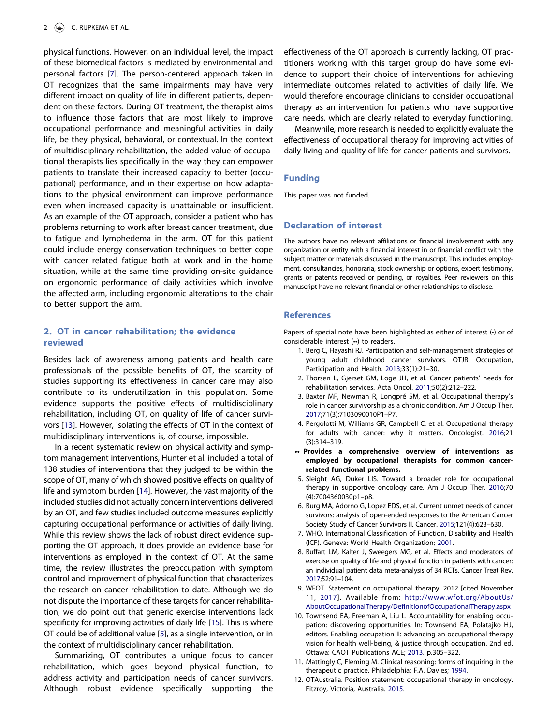physical functions. However, on an individual level, the impact of these biomedical factors is mediated by environmental and personal factors [\[7](#page-3-6)]. The person-centered approach taken in OT recognizes that the same impairments may have very different impact on quality of life in different patients, dependent on these factors. During OT treatment, the therapist aims to influence those factors that are most likely to improve occupational performance and meaningful activities in daily life, be they physical, behavioral, or contextual. In the context of multidisciplinary rehabilitation, the added value of occupational therapists lies specifically in the way they can empower patients to translate their increased capacity to better (occupational) performance, and in their expertise on how adaptations to the physical environment can improve performance even when increased capacity is unattainable or insufficient. As an example of the OT approach, consider a patient who has problems returning to work after breast cancer treatment, due to fatigue and lymphedema in the arm. OT for this patient could include energy conservation techniques to better cope with cancer related fatigue both at work and in the home situation, while at the same time providing on-site guidance on ergonomic performance of daily activities which involve the affected arm, including ergonomic alterations to the chair to better support the arm.

#### 2. OT in cancer rehabilitation; the evidence reviewed

Besides lack of awareness among patients and health care professionals of the possible benefits of OT, the scarcity of studies supporting its effectiveness in cancer care may also contribute to its underutilization in this population. Some evidence supports the positive effects of multidisciplinary rehabilitation, including OT, on quality of life of cancer survivors [[13\]](#page-4-0). However, isolating the effects of OT in the context of multidisciplinary interventions is, of course, impossible.

<span id="page-3-13"></span><span id="page-3-12"></span>In a recent systematic review on physical activity and symptom management interventions, Hunter et al. included a total of 138 studies of interventions that they judged to be within the scope of OT, many of which showed positive effects on quality of life and symptom burden [\[14\]](#page-4-1). However, the vast majority of the included studies did not actually concern interventions delivered by an OT, and few studies included outcome measures explicitly capturing occupational performance or activities of daily living. While this review shows the lack of robust direct evidence supporting the OT approach, it does provide an evidence base for interventions as employed in the context of OT. At the same time, the review illustrates the preoccupation with symptom control and improvement of physical function that characterizes the research on cancer rehabilitation to date. Although we do not dispute the importance of these targets for cancer rehabilitation, we do point out that generic exercise interventions lack specificity for improving activities of daily life [[15](#page-4-2)]. This is where OT could be of additional value [\[5\]](#page-3-4), as a single intervention, or in the context of multidisciplinary cancer rehabilitation.

<span id="page-3-14"></span>Summarizing, OT contributes a unique focus to cancer rehabilitation, which goes beyond physical function, to address activity and participation needs of cancer survivors. Although robust evidence specifically supporting the effectiveness of the OT approach is currently lacking, OT practitioners working with this target group do have some evidence to support their choice of interventions for achieving intermediate outcomes related to activities of daily life. We would therefore encourage clinicians to consider occupational therapy as an intervention for patients who have supportive care needs, which are clearly related to everyday functioning.

Meanwhile, more research is needed to explicitly evaluate the effectiveness of occupational therapy for improving activities of daily living and quality of life for cancer patients and survivors.

#### Funding

This paper was not funded.

#### Declaration of interest

The authors have no relevant affiliations or financial involvement with any organization or entity with a financial interest in or financial conflict with the subject matter or materials discussed in the manuscript. This includes employment, consultancies, honoraria, stock ownership or options, expert testimony, grants or patents received or pending, or royalties. Peer reviewers on this manuscript have no relevant financial or other relationships to disclose.

#### References

Papers of special note have been highlighted as either of interest (•) or of considerable interest (••) to readers.

- <span id="page-3-0"></span>1. Berg C, Hayashi RJ. Participation and self-management strategies of young adult childhood cancer survivors. OTJR: Occupation, Participation and Health. [2013](#page-2-1);33(1):21–30.
- <span id="page-3-1"></span>2. Thorsen L, Gjerset GM, Loge JH, et al. Cancer patients' needs for rehabilitation services. Acta Oncol. [2011](#page-2-2);50(2):212–222.
- <span id="page-3-2"></span>3. Baxter MF, Newman R, Longpré SM, et al. Occupational therapy's role in cancer survivorship as a chronic condition. Am J Occup Ther. [2017](#page-2-3);71(3):7103090010P1–P7.
- <span id="page-3-3"></span>4. Pergolotti M, Williams GR, Campbell C, et al. Occupational therapy for adults with cancer: why it matters. Oncologist. [2016;](#page-2-4)21 (3):314–319.
- •• Provides a comprehensive overview of interventions as employed by occupational therapists for common cancerrelated functional problems.
- <span id="page-3-4"></span>5. Sleight AG, Duker LIS. Toward a broader role for occupational therapy in supportive oncology care. Am J Occup Ther. [2016;](#page-2-1)70 (4):7004360030p1–p8.
- <span id="page-3-5"></span>6. Burg MA, Adorno G, Lopez EDS, et al. Current unmet needs of cancer survivors: analysis of open-ended responses to the American Cancer Society Study of Cancer Survivors II. Cancer. [2015](#page-2-1);121(4):623–630.
- <span id="page-3-6"></span>7. WHO. International Classification of Function, Disability and Health (ICF). Geneva: World Health Organization; [2001](#page-2-5).
- <span id="page-3-7"></span>8. Buffart LM, Kalter J, Sweegers MG, et al. Effects and moderators of exercise on quality of life and physical function in patients with cancer: an individual patient data meta-analysis of 34 RCTs. Cancer Treat Rev. [2017](#page-2-6);52:91–104.
- <span id="page-3-8"></span>9. WFOT. Statement on occupational therapy. 2012 [cited November 11, [2017](#page-2-7)]. Available from: [http://www.wfot.org/AboutUs/](http://www.wfot.org/AboutUs/AboutOccupationalTherapy/DefinitionofOccupationalTherapy.aspx) [AboutOccupationalTherapy/DefinitionofOccupationalTherapy.aspx](http://www.wfot.org/AboutUs/AboutOccupationalTherapy/DefinitionofOccupationalTherapy.aspx)
- <span id="page-3-9"></span>10. Townsend EA, Freeman A, Liu L. Accountability for enabling occupation: discovering opportunities. In: Townsend EA, Polatajko HJ, editors. Enabling occupation II: advancing an occupational therapy vision for health well-being, & justice through occupation. 2nd ed. Ottawa: CAOT Publications ACE; [2013.](#page-2-8) p.305–322.
- <span id="page-3-10"></span>11. Mattingly C, Fleming M. Clinical reasoning: forms of inquiring in the therapeutic practice. Philadelphia: F.A. Davies; [1994](#page-2-9).
- <span id="page-3-11"></span>12. OTAustralia. Position statement: occupational therapy in oncology. Fitzroy, Victoria, Australia. [2015](#page-2-10).